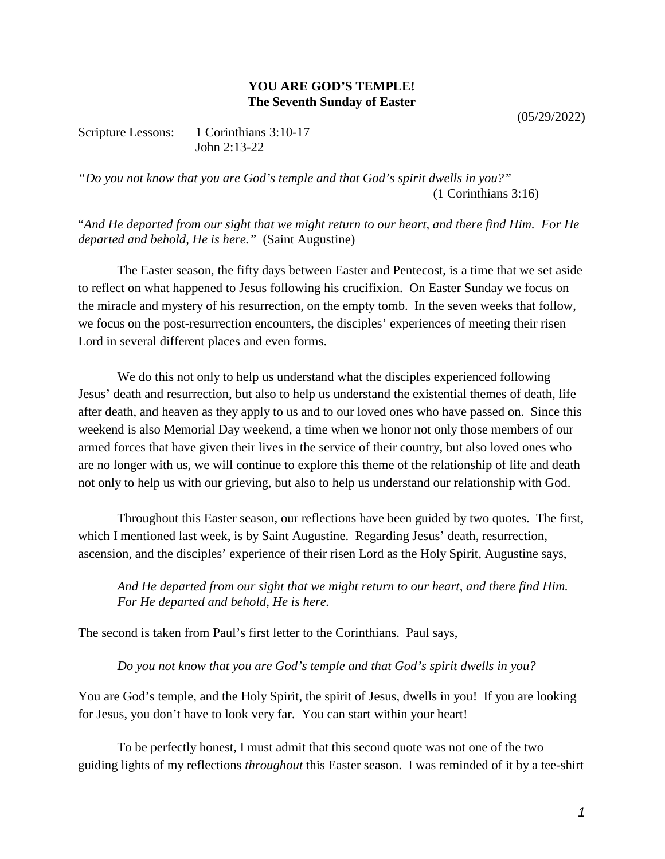## **YOU ARE GOD'S TEMPLE! The Seventh Sunday of Easter**

(05/29/2022)

Scripture Lessons: 1 Corinthians 3:10-17 John 2:13-22

*"Do you not know that you are God's temple and that God's spirit dwells in you?"* (1 Corinthians 3:16)

"*And He departed from our sight that we might return to our heart, and there find Him. For He departed and behold, He is here."* (Saint Augustine)

The Easter season, the fifty days between Easter and Pentecost, is a time that we set aside to reflect on what happened to Jesus following his crucifixion. On Easter Sunday we focus on the miracle and mystery of his resurrection, on the empty tomb. In the seven weeks that follow, we focus on the post-resurrection encounters, the disciples' experiences of meeting their risen Lord in several different places and even forms.

We do this not only to help us understand what the disciples experienced following Jesus' death and resurrection, but also to help us understand the existential themes of death, life after death, and heaven as they apply to us and to our loved ones who have passed on. Since this weekend is also Memorial Day weekend, a time when we honor not only those members of our armed forces that have given their lives in the service of their country, but also loved ones who are no longer with us, we will continue to explore this theme of the relationship of life and death not only to help us with our grieving, but also to help us understand our relationship with God.

Throughout this Easter season, our reflections have been guided by two quotes. The first, which I mentioned last week, is by Saint Augustine. Regarding Jesus' death, resurrection, ascension, and the disciples' experience of their risen Lord as the Holy Spirit, Augustine says,

*And He departed from our sight that we might return to our heart, and there find Him. For He departed and behold, He is here.*

The second is taken from Paul's first letter to the Corinthians. Paul says,

*Do you not know that you are God's temple and that God's spirit dwells in you?*

You are God's temple, and the Holy Spirit, the spirit of Jesus, dwells in you! If you are looking for Jesus, you don't have to look very far. You can start within your heart!

To be perfectly honest, I must admit that this second quote was not one of the two guiding lights of my reflections *throughout* this Easter season. I was reminded of it by a tee-shirt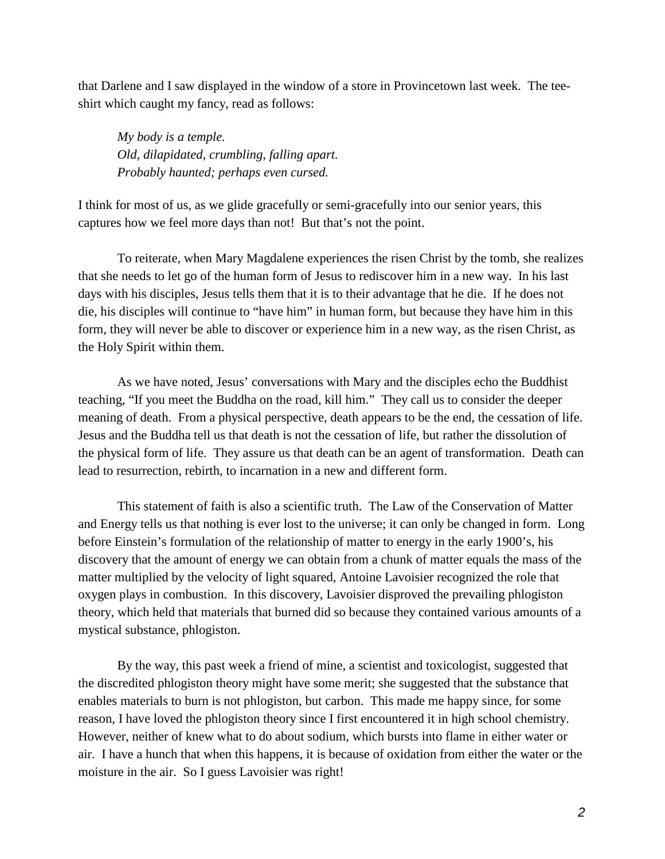that Darlene and I saw displayed in the window of a store in Provincetown last week. The teeshirt which caught my fancy, read as follows:

*My body is a temple. Old, dilapidated, crumbling, falling apart. Probably haunted; perhaps even cursed.*

I think for most of us, as we glide gracefully or semi-gracefully into our senior years, this captures how we feel more days than not! But that's not the point.

To reiterate, when Mary Magdalene experiences the risen Christ by the tomb, she realizes that she needs to let go of the human form of Jesus to rediscover him in a new way. In his last days with his disciples, Jesus tells them that it is to their advantage that he die. If he does not die, his disciples will continue to "have him" in human form, but because they have him in this form, they will never be able to discover or experience him in a new way, as the risen Christ, as the Holy Spirit within them.

As we have noted, Jesus' conversations with Mary and the disciples echo the Buddhist teaching, "If you meet the Buddha on the road, kill him." They call us to consider the deeper meaning of death. From a physical perspective, death appears to be the end, the cessation of life. Jesus and the Buddha tell us that death is not the cessation of life, but rather the dissolution of the physical form of life. They assure us that death can be an agent of transformation. Death can lead to resurrection, rebirth, to incarnation in a new and different form.

This statement of faith is also a scientific truth. The Law of the Conservation of Matter and Energy tells us that nothing is ever lost to the universe; it can only be changed in form. Long before Einstein's formulation of the relationship of matter to energy in the early 1900's, his discovery that the amount of energy we can obtain from a chunk of matter equals the mass of the matter multiplied by the velocity of light squared, Antoine Lavoisier recognized the role that oxygen plays in combustion. In this discovery, Lavoisier disproved the prevailing phlogiston theory, which held that materials that burned did so because they contained various amounts of a mystical substance, phlogiston.

By the way, this past week a friend of mine, a scientist and toxicologist, suggested that the discredited phlogiston theory might have some merit; she suggested that the substance that enables materials to burn is not phlogiston, but carbon. This made me happy since, for some reason, I have loved the phlogiston theory since I first encountered it in high school chemistry. However, neither of knew what to do about sodium, which bursts into flame in either water or air. I have a hunch that when this happens, it is because of oxidation from either the water or the moisture in the air. So I guess Lavoisier was right!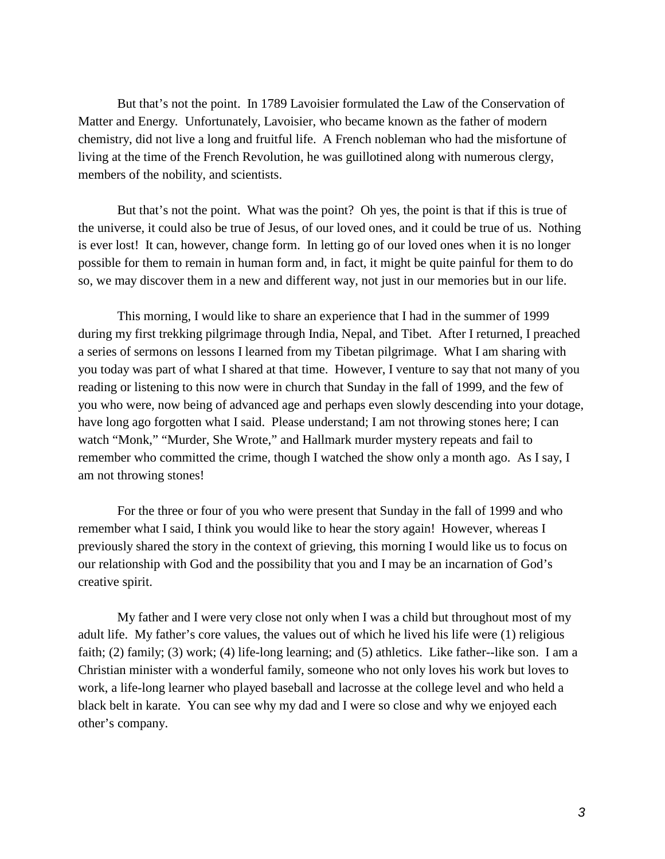But that's not the point. In 1789 Lavoisier formulated the Law of the Conservation of Matter and Energy*.* Unfortunately, Lavoisier, who became known as the father of modern chemistry, did not live a long and fruitful life. A French nobleman who had the misfortune of living at the time of the French Revolution, he was guillotined along with numerous clergy, members of the nobility, and scientists.

But that's not the point. What was the point? Oh yes, the point is that if this is true of the universe, it could also be true of Jesus, of our loved ones, and it could be true of us. Nothing is ever lost! It can, however, change form. In letting go of our loved ones when it is no longer possible for them to remain in human form and, in fact, it might be quite painful for them to do so, we may discover them in a new and different way, not just in our memories but in our life.

This morning, I would like to share an experience that I had in the summer of 1999 during my first trekking pilgrimage through India, Nepal, and Tibet. After I returned, I preached a series of sermons on lessons I learned from my Tibetan pilgrimage. What I am sharing with you today was part of what I shared at that time. However, I venture to say that not many of you reading or listening to this now were in church that Sunday in the fall of 1999, and the few of you who were, now being of advanced age and perhaps even slowly descending into your dotage, have long ago forgotten what I said. Please understand; I am not throwing stones here; I can watch "Monk," "Murder, She Wrote," and Hallmark murder mystery repeats and fail to remember who committed the crime, though I watched the show only a month ago. As I say, I am not throwing stones!

For the three or four of you who were present that Sunday in the fall of 1999 and who remember what I said, I think you would like to hear the story again! However, whereas I previously shared the story in the context of grieving, this morning I would like us to focus on our relationship with God and the possibility that you and I may be an incarnation of God's creative spirit.

My father and I were very close not only when I was a child but throughout most of my adult life. My father's core values, the values out of which he lived his life were (1) religious faith; (2) family; (3) work; (4) life-long learning; and (5) athletics. Like father--like son. I am a Christian minister with a wonderful family, someone who not only loves his work but loves to work, a life-long learner who played baseball and lacrosse at the college level and who held a black belt in karate. You can see why my dad and I were so close and why we enjoyed each other's company.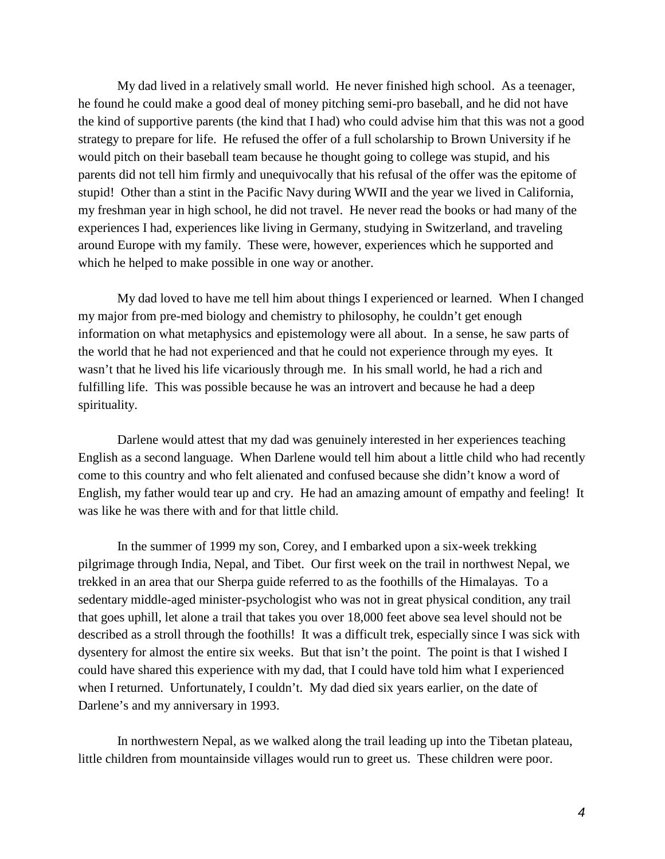My dad lived in a relatively small world. He never finished high school. As a teenager, he found he could make a good deal of money pitching semi-pro baseball, and he did not have the kind of supportive parents (the kind that I had) who could advise him that this was not a good strategy to prepare for life. He refused the offer of a full scholarship to Brown University if he would pitch on their baseball team because he thought going to college was stupid, and his parents did not tell him firmly and unequivocally that his refusal of the offer was the epitome of stupid! Other than a stint in the Pacific Navy during WWII and the year we lived in California, my freshman year in high school, he did not travel. He never read the books or had many of the experiences I had, experiences like living in Germany, studying in Switzerland, and traveling around Europe with my family. These were, however, experiences which he supported and which he helped to make possible in one way or another.

My dad loved to have me tell him about things I experienced or learned. When I changed my major from pre-med biology and chemistry to philosophy, he couldn't get enough information on what metaphysics and epistemology were all about. In a sense, he saw parts of the world that he had not experienced and that he could not experience through my eyes. It wasn't that he lived his life vicariously through me. In his small world, he had a rich and fulfilling life. This was possible because he was an introvert and because he had a deep spirituality.

Darlene would attest that my dad was genuinely interested in her experiences teaching English as a second language. When Darlene would tell him about a little child who had recently come to this country and who felt alienated and confused because she didn't know a word of English, my father would tear up and cry. He had an amazing amount of empathy and feeling! It was like he was there with and for that little child.

In the summer of 1999 my son, Corey, and I embarked upon a six-week trekking pilgrimage through India, Nepal, and Tibet. Our first week on the trail in northwest Nepal, we trekked in an area that our Sherpa guide referred to as the foothills of the Himalayas. To a sedentary middle-aged minister-psychologist who was not in great physical condition, any trail that goes uphill, let alone a trail that takes you over 18,000 feet above sea level should not be described as a stroll through the foothills! It was a difficult trek, especially since I was sick with dysentery for almost the entire six weeks. But that isn't the point. The point is that I wished I could have shared this experience with my dad, that I could have told him what I experienced when I returned. Unfortunately, I couldn't. My dad died six years earlier, on the date of Darlene's and my anniversary in 1993.

In northwestern Nepal, as we walked along the trail leading up into the Tibetan plateau, little children from mountainside villages would run to greet us. These children were poor.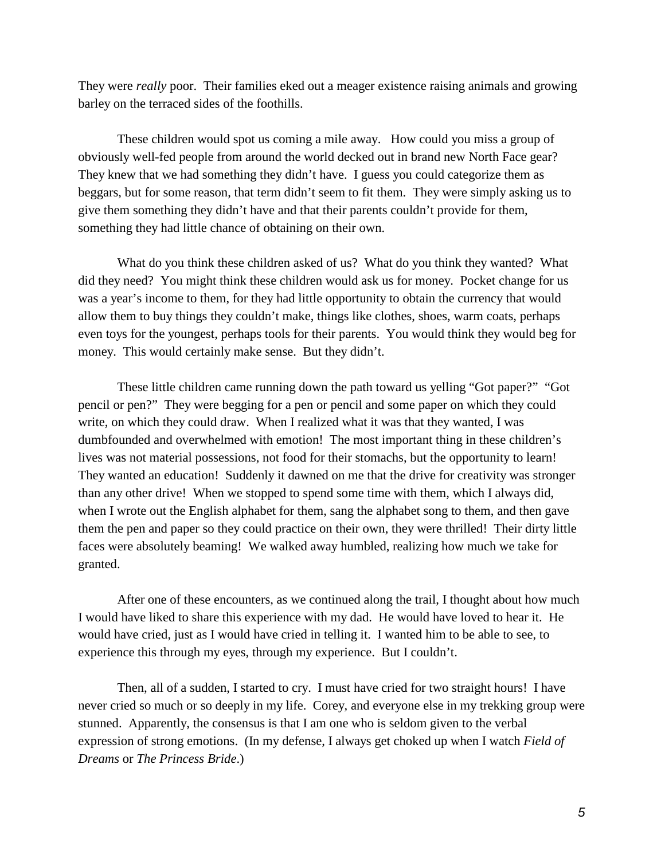They were *really* poor. Their families eked out a meager existence raising animals and growing barley on the terraced sides of the foothills.

These children would spot us coming a mile away. How could you miss a group of obviously well-fed people from around the world decked out in brand new North Face gear? They knew that we had something they didn't have. I guess you could categorize them as beggars, but for some reason, that term didn't seem to fit them. They were simply asking us to give them something they didn't have and that their parents couldn't provide for them, something they had little chance of obtaining on their own.

What do you think these children asked of us? What do you think they wanted? What did they need? You might think these children would ask us for money. Pocket change for us was a year's income to them, for they had little opportunity to obtain the currency that would allow them to buy things they couldn't make, things like clothes, shoes, warm coats, perhaps even toys for the youngest, perhaps tools for their parents. You would think they would beg for money. This would certainly make sense. But they didn't.

These little children came running down the path toward us yelling "Got paper?" "Got pencil or pen?" They were begging for a pen or pencil and some paper on which they could write, on which they could draw. When I realized what it was that they wanted, I was dumbfounded and overwhelmed with emotion! The most important thing in these children's lives was not material possessions, not food for their stomachs, but the opportunity to learn! They wanted an education! Suddenly it dawned on me that the drive for creativity was stronger than any other drive! When we stopped to spend some time with them, which I always did, when I wrote out the English alphabet for them, sang the alphabet song to them, and then gave them the pen and paper so they could practice on their own, they were thrilled! Their dirty little faces were absolutely beaming! We walked away humbled, realizing how much we take for granted.

After one of these encounters, as we continued along the trail, I thought about how much I would have liked to share this experience with my dad. He would have loved to hear it. He would have cried, just as I would have cried in telling it. I wanted him to be able to see, to experience this through my eyes, through my experience. But I couldn't.

Then, all of a sudden, I started to cry. I must have cried for two straight hours! I have never cried so much or so deeply in my life. Corey, and everyone else in my trekking group were stunned. Apparently, the consensus is that I am one who is seldom given to the verbal expression of strong emotions. (In my defense, I always get choked up when I watch *Field of Dreams* or *The Princess Bride*.)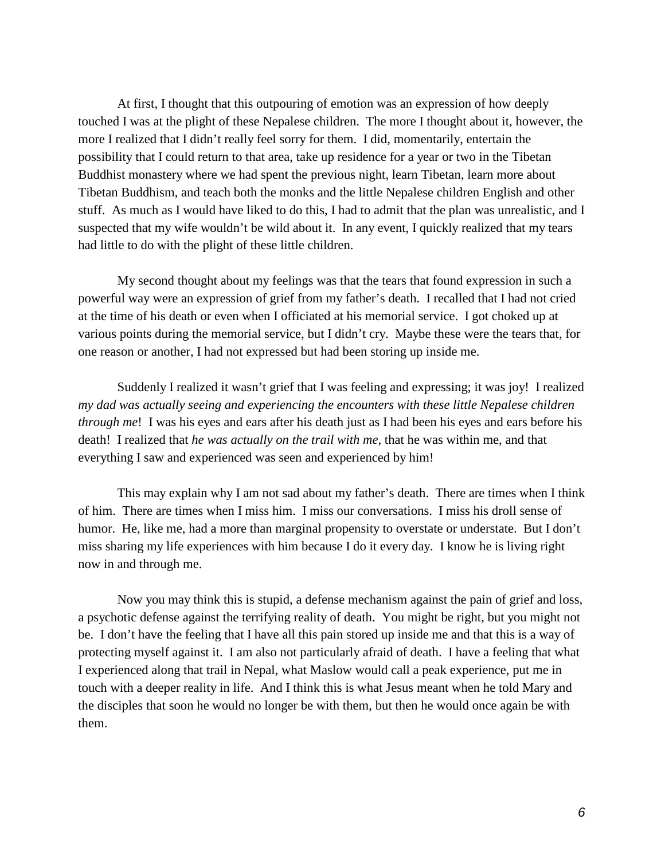At first, I thought that this outpouring of emotion was an expression of how deeply touched I was at the plight of these Nepalese children. The more I thought about it, however, the more I realized that I didn't really feel sorry for them. I did, momentarily, entertain the possibility that I could return to that area, take up residence for a year or two in the Tibetan Buddhist monastery where we had spent the previous night, learn Tibetan, learn more about Tibetan Buddhism, and teach both the monks and the little Nepalese children English and other stuff. As much as I would have liked to do this, I had to admit that the plan was unrealistic, and I suspected that my wife wouldn't be wild about it. In any event, I quickly realized that my tears had little to do with the plight of these little children.

My second thought about my feelings was that the tears that found expression in such a powerful way were an expression of grief from my father's death. I recalled that I had not cried at the time of his death or even when I officiated at his memorial service. I got choked up at various points during the memorial service, but I didn't cry. Maybe these were the tears that, for one reason or another, I had not expressed but had been storing up inside me.

Suddenly I realized it wasn't grief that I was feeling and expressing; it was joy! I realized *my dad was actually seeing and experiencing the encounters with these little Nepalese children through me*! I was his eyes and ears after his death just as I had been his eyes and ears before his death! I realized that *he was actually on the trail with me*, that he was within me, and that everything I saw and experienced was seen and experienced by him!

This may explain why I am not sad about my father's death. There are times when I think of him. There are times when I miss him. I miss our conversations. I miss his droll sense of humor. He, like me, had a more than marginal propensity to overstate or understate. But I don't miss sharing my life experiences with him because I do it every day. I know he is living right now in and through me.

Now you may think this is stupid, a defense mechanism against the pain of grief and loss, a psychotic defense against the terrifying reality of death. You might be right, but you might not be. I don't have the feeling that I have all this pain stored up inside me and that this is a way of protecting myself against it. I am also not particularly afraid of death. I have a feeling that what I experienced along that trail in Nepal, what Maslow would call a peak experience, put me in touch with a deeper reality in life. And I think this is what Jesus meant when he told Mary and the disciples that soon he would no longer be with them, but then he would once again be with them.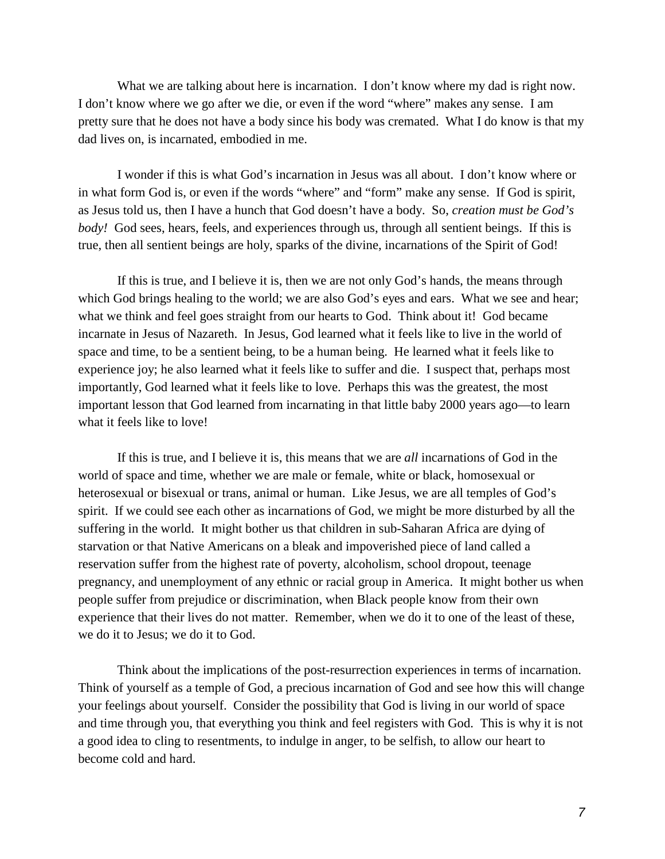What we are talking about here is incarnation. I don't know where my dad is right now. I don't know where we go after we die, or even if the word "where" makes any sense. I am pretty sure that he does not have a body since his body was cremated. What I do know is that my dad lives on, is incarnated, embodied in me.

I wonder if this is what God's incarnation in Jesus was all about. I don't know where or in what form God is, or even if the words "where" and "form" make any sense. If God is spirit, as Jesus told us, then I have a hunch that God doesn't have a body. So, *creation must be God's body!* God sees, hears, feels, and experiences through us, through all sentient beings. If this is true, then all sentient beings are holy, sparks of the divine, incarnations of the Spirit of God!

If this is true, and I believe it is, then we are not only God's hands, the means through which God brings healing to the world; we are also God's eyes and ears. What we see and hear; what we think and feel goes straight from our hearts to God. Think about it! God became incarnate in Jesus of Nazareth. In Jesus, God learned what it feels like to live in the world of space and time, to be a sentient being, to be a human being. He learned what it feels like to experience joy; he also learned what it feels like to suffer and die. I suspect that, perhaps most importantly, God learned what it feels like to love. Perhaps this was the greatest, the most important lesson that God learned from incarnating in that little baby 2000 years ago—to learn what it feels like to love!

If this is true, and I believe it is, this means that we are *all* incarnations of God in the world of space and time, whether we are male or female, white or black, homosexual or heterosexual or bisexual or trans, animal or human. Like Jesus, we are all temples of God's spirit. If we could see each other as incarnations of God, we might be more disturbed by all the suffering in the world. It might bother us that children in sub-Saharan Africa are dying of starvation or that Native Americans on a bleak and impoverished piece of land called a reservation suffer from the highest rate of poverty, alcoholism, school dropout, teenage pregnancy, and unemployment of any ethnic or racial group in America. It might bother us when people suffer from prejudice or discrimination, when Black people know from their own experience that their lives do not matter. Remember, when we do it to one of the least of these, we do it to Jesus; we do it to God.

Think about the implications of the post-resurrection experiences in terms of incarnation. Think of yourself as a temple of God, a precious incarnation of God and see how this will change your feelings about yourself. Consider the possibility that God is living in our world of space and time through you, that everything you think and feel registers with God. This is why it is not a good idea to cling to resentments, to indulge in anger, to be selfish, to allow our heart to become cold and hard.